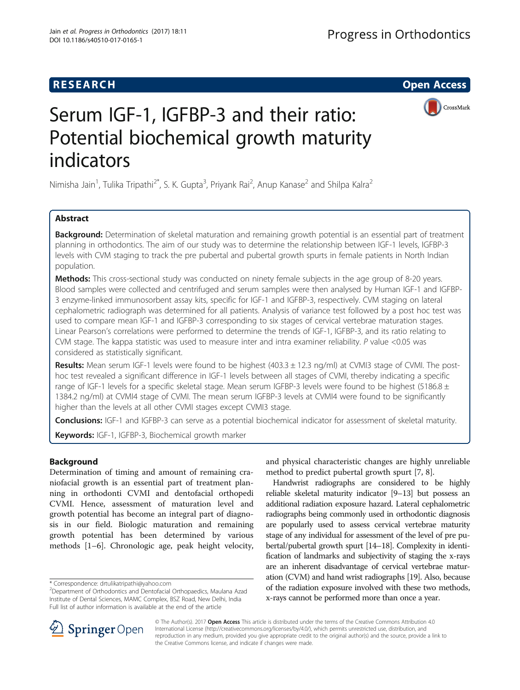# **RESEARCH CHILD CONTROL** CONTROL CONTROL CONTROL CONTROL CONTROL CONTROL CONTROL CONTROL CONTROL CONTROL CONTROL



# Serum IGF-1, IGFBP-3 and their ratio: Potential biochemical growth maturity indicators

Nimisha Jain<sup>1</sup>, Tulika Tripathi<sup>2\*</sup>, S. K. Gupta<sup>3</sup>, Priyank Rai<sup>2</sup>, Anup Kanase<sup>2</sup> and Shilpa Kalra<sup>2</sup>

# Abstract

Background: Determination of skeletal maturation and remaining growth potential is an essential part of treatment planning in orthodontics. The aim of our study was to determine the relationship between IGF-1 levels, IGFBP-3 levels with CVM staging to track the pre pubertal and pubertal growth spurts in female patients in North Indian population.

Methods: This cross-sectional study was conducted on ninety female subjects in the age group of 8-20 years. Blood samples were collected and centrifuged and serum samples were then analysed by Human IGF-1 and IGFBP-3 enzyme-linked immunosorbent assay kits, specific for IGF-1 and IGFBP-3, respectively. CVM staging on lateral cephalometric radiograph was determined for all patients. Analysis of variance test followed by a post hoc test was used to compare mean IGF-1 and IGFBP-3 corresponding to six stages of cervical vertebrae maturation stages. Linear Pearson's correlations were performed to determine the trends of IGF-1, IGFBP-3, and its ratio relating to CVM stage. The kappa statistic was used to measure inter and intra examiner reliability. P value <0.05 was considered as statistically significant.

Results: Mean serum IGF-1 levels were found to be highest (403.3 ± 12.3 ng/ml) at CVMI3 stage of CVMI. The posthoc test revealed a significant difference in IGF-1 levels between all stages of CVMI, thereby indicating a specific range of IGF-1 levels for a specific skeletal stage. Mean serum IGFBP-3 levels were found to be highest (5186.8  $\pm$ 1384.2 ng/ml) at CVMI4 stage of CVMI. The mean serum IGFBP-3 levels at CVMI4 were found to be significantly higher than the levels at all other CVMI stages except CVMI3 stage.

**Conclusions:** IGF-1 and IGFBP-3 can serve as a potential biochemical indicator for assessment of skeletal maturity.

Keywords: IGF-1, IGFBP-3, Biochemical growth marker

### Background

Determination of timing and amount of remaining craniofacial growth is an essential part of treatment planning in orthodonti CVMI and dentofacial orthopedi CVMI. Hence, assessment of maturation level and growth potential has become an integral part of diagnosis in our field. Biologic maturation and remaining growth potential has been determined by various methods [\[1](#page-6-0)–[6\]](#page-7-0). Chronologic age, peak height velocity,

and physical characteristic changes are highly unreliable method to predict pubertal growth spurt [[7, 8\]](#page-7-0).

Handwrist radiographs are considered to be highly reliable skeletal maturity indicator [[9](#page-7-0)–[13](#page-7-0)] but possess an additional radiation exposure hazard. Lateral cephalometric radiographs being commonly used in orthodontic diagnosis are popularly used to assess cervical vertebrae maturity stage of any individual for assessment of the level of pre pubertal/pubertal growth spurt [\[14](#page-7-0)–[18](#page-7-0)]. Complexity in identification of landmarks and subjectivity of staging the x-rays are an inherent disadvantage of cervical vertebrae maturation (CVM) and hand wrist radiographs [\[19\]](#page-7-0). Also, because of the radiation exposure involved with these two methods, x-rays cannot be performed more than once a year.



© The Author(s). 2017 Open Access This article is distributed under the terms of the Creative Commons Attribution 4.0 International License ([http://creativecommons.org/licenses/by/4.0/\)](http://creativecommons.org/licenses/by/4.0/), which permits unrestricted use, distribution, and reproduction in any medium, provided you give appropriate credit to the original author(s) and the source, provide a link to the Creative Commons license, and indicate if changes were made.

<sup>\*</sup> Correspondence: [drtulikatripathi@yahoo.com](mailto:drtulikatripathi@yahoo.com) <sup>2</sup>

<sup>&</sup>lt;sup>2</sup>Department of Orthodontics and Dentofacial Orthopaedics, Maulana Azad Institute of Dental Sciences, MAMC Complex, BSZ Road, New Delhi, India Full list of author information is available at the end of the article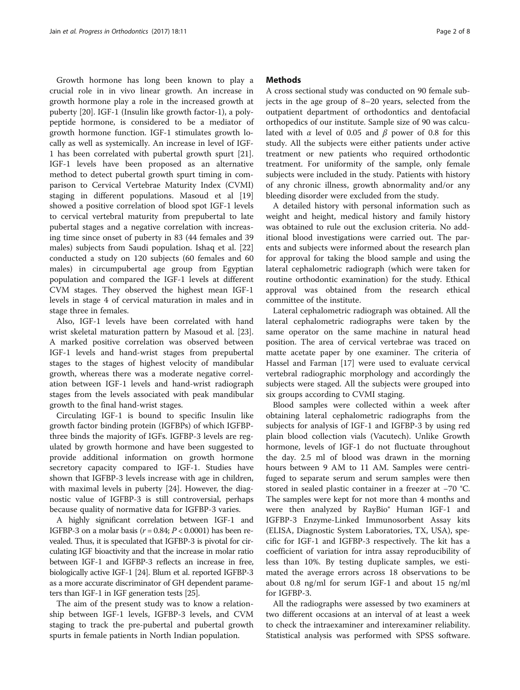Growth hormone has long been known to play a crucial role in in vivo linear growth. An increase in growth hormone play a role in the increased growth at puberty [[20\]](#page-7-0). IGF-1 (Insulin like growth factor-1), a polypeptide hormone, is considered to be a mediator of growth hormone function. IGF-1 stimulates growth locally as well as systemically. An increase in level of IGF-1 has been correlated with pubertal growth spurt [\[21](#page-7-0)]. IGF-1 levels have been proposed as an alternative method to detect pubertal growth spurt timing in comparison to Cervical Vertebrae Maturity Index (CVMI) staging in different populations. Masoud et al [[19](#page-7-0)] showed a positive correlation of blood spot IGF-1 levels to cervical vertebral maturity from prepubertal to late pubertal stages and a negative correlation with increasing time since onset of puberty in 83 (44 females and 39 males) subjects from Saudi population. Ishaq et al. [[22](#page-7-0)] conducted a study on 120 subjects (60 females and 60 males) in circumpubertal age group from Egyptian population and compared the IGF-1 levels at different CVM stages. They observed the highest mean IGF-1 levels in stage 4 of cervical maturation in males and in stage three in females.

Also, IGF-1 levels have been correlated with hand wrist skeletal maturation pattern by Masoud et al. [\[23](#page-7-0)]. A marked positive correlation was observed between IGF-1 levels and hand-wrist stages from prepubertal stages to the stages of highest velocity of mandibular growth, whereas there was a moderate negative correlation between IGF-1 levels and hand-wrist radiograph stages from the levels associated with peak mandibular growth to the final hand-wrist stages.

Circulating IGF-1 is bound to specific Insulin like growth factor binding protein (IGFBPs) of which IGFBPthree binds the majority of IGFs. IGFBP-3 levels are regulated by growth hormone and have been suggested to provide additional information on growth hormone secretory capacity compared to IGF-1. Studies have shown that IGFBP-3 levels increase with age in children, with maximal levels in puberty [[24\]](#page-7-0). However, the diagnostic value of IGFBP-3 is still controversial, perhaps because quality of normative data for IGFBP-3 varies.

A highly significant correlation between IGF-1 and IGFBP-3 on a molar basis ( $r = 0.84$ ;  $P < 0.0001$ ) has been revealed. Thus, it is speculated that IGFBP-3 is pivotal for circulating IGF bioactivity and that the increase in molar ratio between IGF-1 and IGFBP-3 reflects an increase in free, biologically active IGF-1 [\[24\]](#page-7-0). Blum et al. reported IGFBP-3 as a more accurate discriminator of GH dependent parameters than IGF-1 in IGF generation tests [\[25\]](#page-7-0).

The aim of the present study was to know a relationship between IGF-1 levels, IGFBP-3 levels, and CVM staging to track the pre-pubertal and pubertal growth spurts in female patients in North Indian population.

#### **Methods**

A cross sectional study was conducted on 90 female subjects in the age group of 8–20 years, selected from the outpatient department of orthodontics and dentofacial orthopedics of our institute. Sample size of 90 was calculated with  $\alpha$  level of 0.05 and  $\beta$  power of 0.8 for this study. All the subjects were either patients under active treatment or new patients who required orthodontic treatment. For uniformity of the sample, only female subjects were included in the study. Patients with history of any chronic illness, growth abnormality and/or any bleeding disorder were excluded from the study.

A detailed history with personal information such as weight and height, medical history and family history was obtained to rule out the exclusion criteria. No additional blood investigations were carried out. The parents and subjects were informed about the research plan for approval for taking the blood sample and using the lateral cephalometric radiograph (which were taken for routine orthodontic examination) for the study. Ethical approval was obtained from the research ethical committee of the institute.

Lateral cephalometric radiograph was obtained. All the lateral cephalometric radiographs were taken by the same operator on the same machine in natural head position. The area of cervical vertebrae was traced on matte acetate paper by one examiner. The criteria of Hassel and Farman [\[17](#page-7-0)] were used to evaluate cervical vertebral radiographic morphology and accordingly the subjects were staged. All the subjects were grouped into six groups according to CVMI staging.

Blood samples were collected within a week after obtaining lateral cephalometric radiographs from the subjects for analysis of IGF-1 and IGFBP-3 by using red plain blood collection vials (Vacutech). Unlike Growth hormone, levels of IGF-1 do not fluctuate throughout the day. 2.5 ml of blood was drawn in the morning hours between 9 AM to 11 AM. Samples were centrifuged to separate serum and serum samples were then stored in sealed plastic container in a freezer at −70 °C. The samples were kept for not more than 4 months and were then analyzed by RayBio® Human IGF-1 and IGFBP-3 Enzyme-Linked Immunosorbent Assay kits (ELISA, Diagnostic System Laboratories, TX, USA), specific for IGF-1 and IGFBP-3 respectively. The kit has a coefficient of variation for intra assay reproducibility of less than 10%. By testing duplicate samples, we estimated the average errors across 18 observations to be about 0.8 ng/ml for serum IGF-1 and about 15 ng/ml for IGFBP-3.

All the radiographs were assessed by two examiners at two different occasions at an interval of at least a week to check the intraexaminer and interexaminer reliability. Statistical analysis was performed with SPSS software.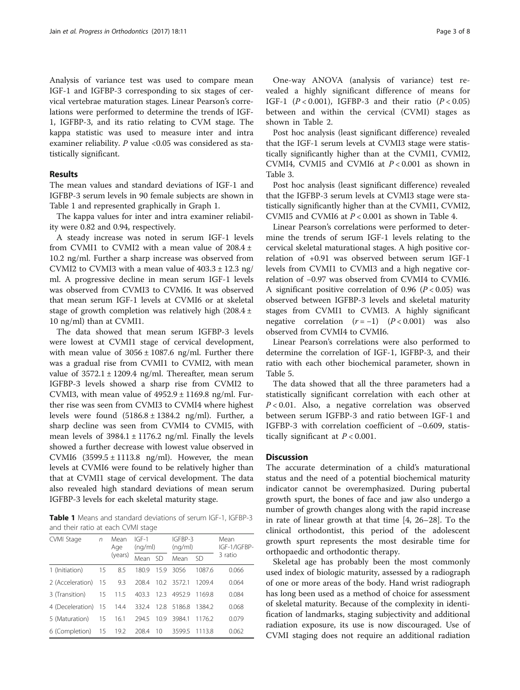<span id="page-2-0"></span>Analysis of variance test was used to compare mean IGF-1 and IGFBP-3 corresponding to six stages of cervical vertebrae maturation stages. Linear Pearson's correlations were performed to determine the trends of IGF-1, IGFBP-3, and its ratio relating to CVM stage. The kappa statistic was used to measure inter and intra examiner reliability.  $P$  value <0.05 was considered as statistically significant.

#### Results

The mean values and standard deviations of IGF-1 and IGFBP-3 serum levels in 90 female subjects are shown in Table 1 and represented graphically in Graph [1.](#page-3-0)

The kappa values for inter and intra examiner reliability were 0.82 and 0.94, respectively.

A steady increase was noted in serum IGF-1 levels from CVMI1 to CVMI2 with a mean value of  $208.4 \pm$ 10.2 ng/ml. Further a sharp increase was observed from CVMI2 to CVMI3 with a mean value of  $403.3 \pm 12.3$  ng/ ml. A progressive decline in mean serum IGF-1 levels was observed from CVMI3 to CVMI6. It was observed that mean serum IGF-1 levels at CVMI6 or at skeletal stage of growth completion was relatively high  $(208.4 \pm$ 10 ng/ml) than at CVMI1.

The data showed that mean serum IGFBP-3 levels were lowest at CVMI1 stage of cervical development, with mean value of  $3056 \pm 1087.6$  ng/ml. Further there was a gradual rise from CVMI1 to CVMI2, with mean value of  $3572.1 \pm 1209.4$  ng/ml. Thereafter, mean serum IGFBP-3 levels showed a sharp rise from CVMI2 to CVMI3, with mean value of  $4952.9 \pm 1169.8$  ng/ml. Further rise was seen from CVMI3 to CVMI4 where highest levels were found  $(5186.8 \pm 1384.2 \text{ ng/ml})$ . Further, a sharp decline was seen from CVMI4 to CVMI5, with mean levels of  $3984.1 \pm 1176.2$  ng/ml. Finally the levels showed a further decrease with lowest value observed in CVMI6  $(3599.5 \pm 1113.8 \text{ ng/ml})$ . However, the mean levels at CVMI6 were found to be relatively higher than that at CVMI1 stage of cervical development. The data also revealed high standard deviations of mean serum IGFBP-3 levels for each skeletal maturity stage.

Table 1 Means and standard deviations of serum IGF-1, IGFBP-3 and their ratio at each CVMI stage

| CVMI Stage          | $\sqrt{n}$ | Mean<br>Age<br>(years) | $IGF-1$<br>(nq/ml) |      | IGFBP-3<br>(nq/ml) |         | Mean<br>IGF-1/IGFBP- |
|---------------------|------------|------------------------|--------------------|------|--------------------|---------|----------------------|
|                     |            |                        | Mean               | -SD  | Mean               | -SD     | 3 ratio              |
| 1 (Initiation)      | 15         | 8.5                    | 180.9              | 15.9 | 3056               | 10876   | 0.066                |
| 2 (Acceleration) 15 |            | 9.3                    | 208.4              |      | 10.2 3572.1        | 1209.4  | 0.064                |
| 3 (Transition)      | 15         | 11.5                   | 403.3              | 12.3 | 4952.9             | 11698   | 0.084                |
| 4 (Deceleration) 15 |            |                        | 14.4 332.4         | 12.8 | 5186.8             | 13842   | 0.068                |
| 5 (Maturation)      | 15         | 16.1                   | 294.5              | 10.9 | 3984.1             | 11762   | 0.079                |
| 6 (Completion) 15   |            | 19.2                   | 208.4              | -10  | 3599.5             | -1113.8 | 0.062                |

One-way ANOVA (analysis of variance) test revealed a highly significant difference of means for IGF-1  $(P < 0.001)$ , IGFBP-3 and their ratio  $(P < 0.05)$ between and within the cervical (CVMI) stages as shown in Table [2](#page-3-0).

Post hoc analysis (least significant difference) revealed that the IGF-1 serum levels at CVMI3 stage were statistically significantly higher than at the CVMI1, CVMI2, CVMI4, CVMI5 and CVMI6 at  $P < 0.001$  as shown in Table [3.](#page-4-0)

Post hoc analysis (least significant difference) revealed that the IGFBP-3 serum levels at CVMI3 stage were statistically significantly higher than at the CVMI1, CVMI2, CVMI5 and CVMI6 at  $P < 0.001$  as shown in Table [4.](#page-4-0)

Linear Pearson's correlations were performed to determine the trends of serum IGF-1 levels relating to the cervical skeletal maturational stages. A high positive correlation of +0.91 was observed between serum IGF-1 levels from CVMI1 to CVMI3 and a high negative correlation of −0.97 was observed from CVMI4 to CVMI6. A significant positive correlation of 0.96 ( $P < 0.05$ ) was observed between IGFBP-3 levels and skeletal maturity stages from CVMI1 to CVMI3. A highly significant negative correlation  $(r = -1)$   $(P < 0.001)$  was also observed from CVMI4 to CVMI6.

Linear Pearson's correlations were also performed to determine the correlation of IGF-1, IGFBP-3, and their ratio with each other biochemical parameter, shown in Table [5.](#page-5-0)

The data showed that all the three parameters had a statistically significant correlation with each other at  $P < 0.01$ . Also, a negative correlation was observed between serum IGFBP-3 and ratio between IGF-1 and IGFBP-3 with correlation coefficient of −0.609, statistically significant at  $P < 0.001$ .

#### **Discussion**

The accurate determination of a child's maturational status and the need of a potential biochemical maturity indicator cannot be overemphasized. During pubertal growth spurt, the bones of face and jaw also undergo a number of growth changes along with the rapid increase in rate of linear growth at that time [\[4](#page-6-0), [26](#page-7-0)–[28\]](#page-7-0). To the clinical orthodontist, this period of the adolescent growth spurt represents the most desirable time for orthopaedic and orthodontic therapy.

Skeletal age has probably been the most commonly used index of biologic maturity, assessed by a radiograph of one or more areas of the body. Hand wrist radiograph has long been used as a method of choice for assessment of skeletal maturity. Because of the complexity in identification of landmarks, staging subjectivity and additional radiation exposure, its use is now discouraged. Use of CVMI staging does not require an additional radiation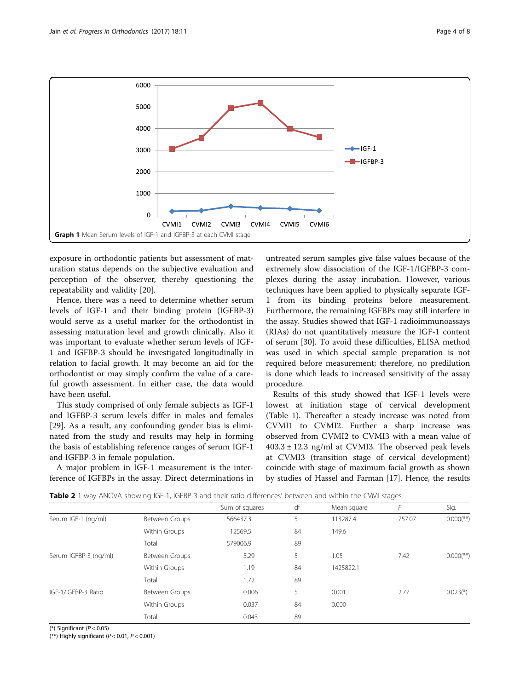<span id="page-3-0"></span>

exposure in orthodontic patients but assessment of maturation status depends on the subjective evaluation and perception of the observer, thereby questioning the repeatability and validity [\[20\]](#page-7-0).

Hence, there was a need to determine whether serum levels of IGF-1 and their binding protein (IGFBP-3) would serve as a useful marker for the orthodontist in assessing maturation level and growth clinically. Also it was important to evaluate whether serum levels of IGF-1 and IGFBP-3 should be investigated longitudinally in relation to facial growth. It may become an aid for the orthodontist or may simply confirm the value of a careful growth assessment. In either case, the data would have been useful.

This study comprised of only female subjects as IGF-1 and IGFBP-3 serum levels differ in males and females [[29\]](#page-7-0). As a result, any confounding gender bias is eliminated from the study and results may help in forming the basis of establishing reference ranges of serum IGF-1 and IGFBP-3 in female population.

A major problem in IGF-1 measurement is the interference of IGFBPs in the assay. Direct determinations in

untreated serum samples give false values because of the extremely slow dissociation of the IGF-1/IGFBP-3 complexes during the assay incubation. However, various techniques have been applied to physically separate IGF-1 from its binding proteins before measurement. Furthermore, the remaining IGFBPs may still interfere in the assay. Studies showed that IGF-1 radioimmunoassays (RIAs) do not quantitatively measure the IGF-1 content of serum [[30](#page-7-0)]. To avoid these difficulties, ELISA method was used in which special sample preparation is not required before measurement; therefore, no predilution is done which leads to increased sensitivity of the assay procedure.

Results of this study showed that IGF-1 levels were lowest at initiation stage of cervical development (Table [1](#page-2-0)). Thereafter a steady increase was noted from CVMI1 to CVMI2. Further a sharp increase was observed from CVMI2 to CVMI3 with a mean value of  $403.3 \pm 12.3$  ng/ml at CVMI3. The observed peak levels at CVMI3 (transition stage of cervical development) coincide with stage of maximum facial growth as shown by studies of Hassel and Farman [\[17\]](#page-7-0). Hence, the results

|  |  |  |  | <b>Table 2</b> 1-way ANOVA showing IGF-1, IGFBP-3 and their ratio differences' between and within the CVMI stages |  |  |
|--|--|--|--|-------------------------------------------------------------------------------------------------------------------|--|--|
|--|--|--|--|-------------------------------------------------------------------------------------------------------------------|--|--|

|                       |                | Sum of squares | df | Mean square |        | Sig.                      |
|-----------------------|----------------|----------------|----|-------------|--------|---------------------------|
| Serum IGF-1 (ng/ml)   | Between Groups | 566437.3       | 5. | 113287.4    | 757.07 | $0.000$ <sup>(**)</sup> ) |
|                       | Within Groups  | 12569.5        | 84 | 149.6       |        |                           |
|                       | Total          | 579006.9       | 89 |             |        |                           |
| Serum IGFBP-3 (ng/ml) | Between Groups | 5.29           | 5  | 1.05        | 7.42   | $0.000$ <sup>(**)</sup> ) |
|                       | Within Groups  | 1.19           | 84 | 1425822.1   |        |                           |
|                       | Total          | 1.72           | 89 |             |        |                           |
| IGF-1/IGFBP-3 Ratio   | Between Groups | 0.006          | 5  | 0.001       | 2.77   | $0.023$ <sup>*</sup> )    |
|                       | Within Groups  | 0.037          | 84 | 0.000       |        |                           |
|                       | Total          | 0.043          | 89 |             |        |                           |

(\*) Significant  $(P < 0.05)$ 

(\*\*) Highly significant ( $P < 0.01$ ,  $P < 0.001$ )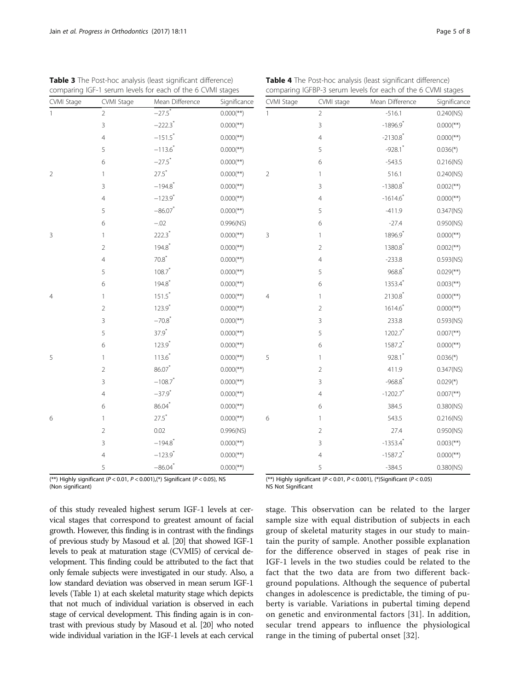(\*\*) Highly significant ( $P < 0.01$ ,  $P < 0.001$ ),(\*) Significant ( $P < 0.05$ ), NS (Non significant)

of this study revealed highest serum IGF-1 levels at cervical stages that correspond to greatest amount of facial growth. However, this finding is in contrast with the findings of previous study by Masoud et al. [\[20\]](#page-7-0) that showed IGF-1 levels to peak at maturation stage (CVMI5) of cervical development. This finding could be attributed to the fact that only female subjects were investigated in our study. Also, a low standard deviation was observed in mean serum IGF-1 levels (Table [1\)](#page-2-0) at each skeletal maturity stage which depicts that not much of individual variation is observed in each stage of cervical development. This finding again is in contrast with previous study by Masoud et al. [\[20](#page-7-0)] who noted wide individual variation in the IGF-1 levels at each cervical

(\*\*) Highly significant ( $P < 0.01$ ,  $P < 0.001$ ), (\*)Significant ( $P < 0.05$ ) NS Not Significant

stage. This observation can be related to the larger sample size with equal distribution of subjects in each group of skeletal maturity stages in our study to maintain the purity of sample. Another possible explanation for the difference observed in stages of peak rise in IGF-1 levels in the two studies could be related to the fact that the two data are from two different background populations. Although the sequence of pubertal changes in adolescence is predictable, the timing of puberty is variable. Variations in pubertal timing depend on genetic and environmental factors [\[31](#page-7-0)]. In addition, secular trend appears to influence the physiological range in the timing of pubertal onset [\[32](#page-7-0)].

| comparing IGF-1 serum levels for each of the 6 CVMI stages |                |                       |                           | comparing IGFBP-3 serum levels for each of the 6 CVMI stages |                |                        |                           |  |
|------------------------------------------------------------|----------------|-----------------------|---------------------------|--------------------------------------------------------------|----------------|------------------------|---------------------------|--|
| CVMI Stage                                                 | CVMI Stage     | Mean Difference       | Significance              | CVMI Stage                                                   | CVMI stage     | Mean Difference        | Significance              |  |
|                                                            | $\overline{2}$ | $-27.5$ <sup>*</sup>  | $0.000$ <sup>(**)</sup> ) |                                                              | $\overline{2}$ | $-516.1$               | 0.240(NS)                 |  |
|                                                            | 3              | $-222.3$ <sup>*</sup> | $0.000$ <sup>**</sup> )   |                                                              | 3              | $-1896.9$ <sup>*</sup> | $0.000$ <sup>(**)</sup> ) |  |
|                                                            | 4              | $-151.5$ <sup>*</sup> | $0.000$ <sup>(**)</sup> ) |                                                              | 4              | $-2130.8$ <sup>*</sup> | $0.000$ <sup>(**)</sup> ) |  |
|                                                            | 5              | $-113.6$ <sup>*</sup> | $0.000$ <sup>(**)</sup> ) |                                                              | 5              | $-928.1$ *             | $0.036$ <sup>*</sup> )    |  |
|                                                            | 6              | $-27.5$ <sup>*</sup>  | $0.000$ <sup>(**)</sup> ) |                                                              | $\epsilon$     | $-543.5$               | 0.216(NS)                 |  |
| $\overline{c}$                                             | 1              | $27.5$ <sup>*</sup>   | $0.000$ <sup>(**)</sup> ) | $\overline{2}$                                               | $\mathbf{1}$   | 516.1                  | 0.240(NS)                 |  |
|                                                            | 3              | $-194.8$ <sup>*</sup> | $0.000$ <sup>(**)</sup> ) |                                                              | 3              | $-1380.8$ <sup>*</sup> | $0.002$ <sup>**</sup> )   |  |
|                                                            | $\overline{4}$ | $-123.9$ <sup>*</sup> | $0.000$ <sup>(**)</sup> ) |                                                              | $\overline{4}$ | $-1614.6$              | $0.000$ <sup>(**)</sup> ) |  |
|                                                            | 5              | $-86.07$ *            | $0.000$ <sup>(**)</sup> ) |                                                              | 5              | $-411.9$               | $0.347$ (NS)              |  |
|                                                            | 6              | $-.02$                | 0.996(NS)                 |                                                              | $\epsilon$     | $-27.4$                | 0.950(NS)                 |  |
| 3                                                          | 1              | $222.3$ <sup>*</sup>  | $0.000$ <sup>(**)</sup> ) | $\mathbf{3}$                                                 | $\mathbf{1}$   | 1896.9*                | $0.000$ <sup>(**)</sup> ) |  |
|                                                            | $\overline{2}$ | 194.8                 | $0.000$ <sup>(**)</sup> ) |                                                              | $\sqrt{2}$     | 1380.8                 | $0.002$ <sup>**</sup> )   |  |
|                                                            | $\overline{4}$ | $70.8*$               | $0.000$ <sup>(**)</sup> ) |                                                              | 4              | $-233.8$               | $0.593$ (NS)              |  |
|                                                            | 5              | 108.7                 | $0.000$ <sup>**</sup> )   |                                                              | 5              | 968.8                  | $0.029$ <sup>**</sup> )   |  |
|                                                            | 6              | 194.8                 | $0.000$ <sup>**</sup> )   |                                                              | 6              | 1353.4                 | $0.003$ <sup>**</sup> )   |  |
| 4                                                          |                | $151.5$ <sup>*</sup>  | $0.000$ <sup>(**)</sup> ) | $\overline{4}$                                               | $\mathbf{1}$   | $2130.8$ <sup>*</sup>  | $0.000$ <sup>(**)</sup> ) |  |
|                                                            | $\overline{2}$ | $123.9$ <sup>*</sup>  | $0.000$ <sup>(**)</sup> ) |                                                              | $\sqrt{2}$     | $1614.6*$              | $0.000$ <sup>(**)</sup> ) |  |
|                                                            | 3              | $-70.8$ <sup>*</sup>  | $0.000$ <sup>(**)</sup> ) |                                                              | 3              | 233.8                  | $0.593$ (NS)              |  |
|                                                            | 5              | $37.9*$               | $0.000$ <sup>(**)</sup> ) |                                                              | 5              | 1202.7                 | $0.007$ <sup>**</sup> )   |  |
|                                                            | 6              | $123.9*$              | $0.000$ <sup>(**)</sup> ) |                                                              | 6              | 1587.2*                | $0.000$ <sup>(**)</sup> ) |  |
| 5                                                          | $\mathbf{1}$   | 113.6                 | $0.000$ <sup>(**)</sup> ) | 5                                                            | $\mathbf{1}$   | $928.1$ *              | $0.036(*)$                |  |
|                                                            | $\overline{2}$ | $86.07*$              | $0.000$ <sup>(**)</sup> ) |                                                              | $\sqrt{2}$     | 411.9                  | $0.347$ (NS)              |  |
|                                                            | 3              | $-108.7$ <sup>*</sup> | $0.000$ <sup>**</sup> )   |                                                              | 3              | $-968.8$ <sup>*</sup>  | $0.029$ <sup>*</sup> )    |  |
|                                                            | 4              | $-37.9$ <sup>*</sup>  | $0.000$ <sup>**</sup> )   |                                                              | 4              | $-1202.7$ <sup>*</sup> | $0.007$ <sup>**</sup> )   |  |
|                                                            | 6              | $86.04*$              | $0.000$ <sup>(**)</sup> ) |                                                              | 6              | 384.5                  | 0.380(NS)                 |  |
| 6                                                          | $\mathbf{1}$   | $27.5*$               | $0.000$ <sup>(**)</sup> ) | 6                                                            | $\mathbf{1}$   | 543.5                  | 0.216(NS)                 |  |
|                                                            | $\overline{2}$ | 0.02                  | 0.996(NS)                 |                                                              | $\sqrt{2}$     | 27.4                   | 0.950(NS)                 |  |
|                                                            | 3              | $-194.8$ <sup>*</sup> | $0.000$ <sup>**</sup> )   |                                                              | 3              | $-1353.4$ <sup>*</sup> | $0.003$ <sup>**</sup> )   |  |
|                                                            | 4              | $-123.9$ <sup>*</sup> | $0.000$ <sup>(**)</sup> ) |                                                              | 4              | $-1587.2$ <sup>*</sup> | $0.000$ <sup>(**)</sup> ) |  |
|                                                            | 5              | $-86.04$ <sup>*</sup> | $0.000$ <sup>(**)</sup> ) |                                                              | 5              | $-384.5$               | 0.380(NS)                 |  |
|                                                            |                |                       |                           |                                                              |                |                        |                           |  |

# <span id="page-4-0"></span>Table 3 The Post-hoc analysis (least significant difference)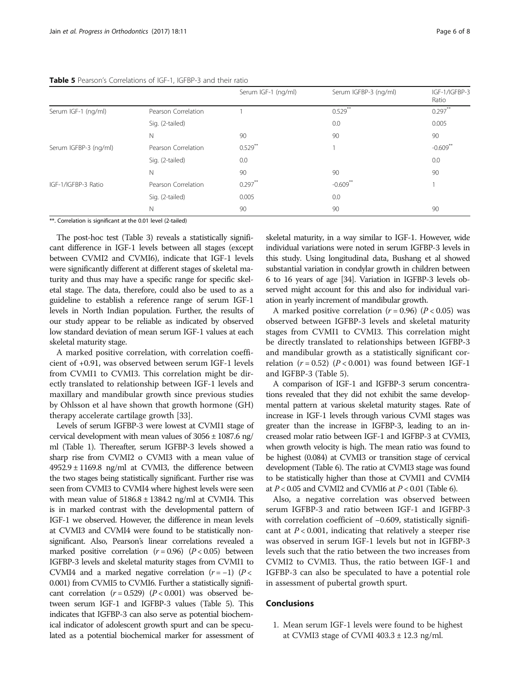#### <span id="page-5-0"></span>Table 5 Pearson's Correlations of IGF-1, IGFBP-3 and their ratio

|                       |                     | Serum IGF-1 (ng/ml) | Serum IGFBP-3 (ng/ml) | IGF-1/IGFBP-3<br>Ratio |
|-----------------------|---------------------|---------------------|-----------------------|------------------------|
| Serum IGF-1 (ng/ml)   | Pearson Correlation |                     | $0.529***$            | $0.297***$             |
|                       | Sig. (2-tailed)     |                     | 0.0                   | 0.005                  |
|                       | N                   | 90                  | 90                    | 90                     |
| Serum IGFBP-3 (ng/ml) | Pearson Correlation | $0.529$ **          |                       | $-0.609$ <sup>*</sup>  |
|                       | Sig. (2-tailed)     | 0.0                 |                       | 0.0                    |
|                       | $\mathbb N$         | 90                  | 90                    | 90                     |
| IGF-1/IGFBP-3 Ratio   | Pearson Correlation | $0.297***$          | $-0.609$              |                        |
|                       | Sig. (2-tailed)     | 0.005               | 0.0                   |                        |
|                       | N                   | 90                  | 90                    | 90                     |
|                       |                     |                     |                       |                        |

\*\*. Correlation is significant at the 0.01 level (2-tailed)

The post-hoc test (Table [3](#page-4-0)) reveals a statistically significant difference in IGF-1 levels between all stages (except between CVMI2 and CVMI6), indicate that IGF-1 levels were significantly different at different stages of skeletal maturity and thus may have a specific range for specific skeletal stage. The data, therefore, could also be used to as a guideline to establish a reference range of serum IGF-1 levels in North Indian population. Further, the results of our study appear to be reliable as indicated by observed low standard deviation of mean serum IGF-1 values at each skeletal maturity stage.

A marked positive correlation, with correlation coefficient of +0.91, was observed between serum IGF-1 levels from CVMI1 to CVMI3. This correlation might be directly translated to relationship between IGF-1 levels and maxillary and mandibular growth since previous studies by Ohlsson et al have shown that growth hormone (GH) therapy accelerate cartilage growth [[33](#page-7-0)].

Levels of serum IGFBP-3 were lowest at CVMI1 stage of cervical development with mean values of  $3056 \pm 1087.6$  ng/ ml (Table [1\)](#page-2-0). Thereafter, serum IGFBP-3 levels showed a sharp rise from CVMI2 o CVMI3 with a mean value of  $4952.9 \pm 1169.8$  ng/ml at CVMI3, the difference between the two stages being statistically significant. Further rise was seen from CVMI3 to CVMI4 where highest levels were seen with mean value of  $5186.8 \pm 1384.2$  ng/ml at CVMI4. This is in marked contrast with the developmental pattern of IGF-1 we observed. However, the difference in mean levels at CVMI3 and CVMI4 were found to be statistically nonsignificant. Also, Pearson's linear correlations revealed a marked positive correlation  $(r = 0.96)$   $(P < 0.05)$  between IGFBP-3 levels and skeletal maturity stages from CVMI1 to CVMI4 and a marked negative correlation  $(r = -1)$   $(P <$ 0.001) from CVMI5 to CVMI6. Further a statistically significant correlation  $(r = 0.529)$   $(P < 0.001)$  was observed between serum IGF-1 and IGFBP-3 values (Table 5). This indicates that IGFBP-3 can also serve as potential biochemical indicator of adolescent growth spurt and can be speculated as a potential biochemical marker for assessment of

skeletal maturity, in a way similar to IGF-1. However, wide individual variations were noted in serum IGFBP-3 levels in this study. Using longitudinal data, Bushang et al showed substantial variation in condylar growth in children between 6 to 16 years of age [[34\]](#page-7-0). Variation in IGFBP-3 levels observed might account for this and also for individual variation in yearly increment of mandibular growth.

A marked positive correlation  $(r = 0.96)$   $(P < 0.05)$  was observed between IGFBP-3 levels and skeletal maturity stages from CVMI1 to CVMI3. This correlation might be directly translated to relationships between IGFBP-3 and mandibular growth as a statistically significant correlation  $(r = 0.52)$   $(P < 0.001)$  was found between IGF-1 and IGFBP-3 (Table 5).

A comparison of IGF-1 and IGFBP-3 serum concentrations revealed that they did not exhibit the same developmental pattern at various skeletal maturity stages. Rate of increase in IGF-1 levels through various CVMI stages was greater than the increase in IGFBP-3, leading to an increased molar ratio between IGF-1 and IGFBP-3 at CVMI3, when growth velocity is high. The mean ratio was found to be highest (0.084) at CVMI3 or transition stage of cervical development (Table [6\)](#page-6-0). The ratio at CVMI3 stage was found to be statistically higher than those at CVMI1 and CVMI4 at  $P < 0.05$  and CVMI2 and CVMI6 at  $P < 0.01$  (Table [6](#page-6-0)).

Also, a negative correlation was observed between serum IGFBP-3 and ratio between IGF-1 and IGFBP-3 with correlation coefficient of −0.609, statistically significant at  $P < 0.001$ , indicating that relatively a steeper rise was observed in serum IGF-1 levels but not in IGFBP-3 levels such that the ratio between the two increases from CVMI2 to CVMI3. Thus, the ratio between IGF-1 and IGFBP-3 can also be speculated to have a potential role in assessment of pubertal growth spurt.

#### Conclusions

1. Mean serum IGF-1 levels were found to be highest at CVMI3 stage of CVMI  $403.3 \pm 12.3$  ng/ml.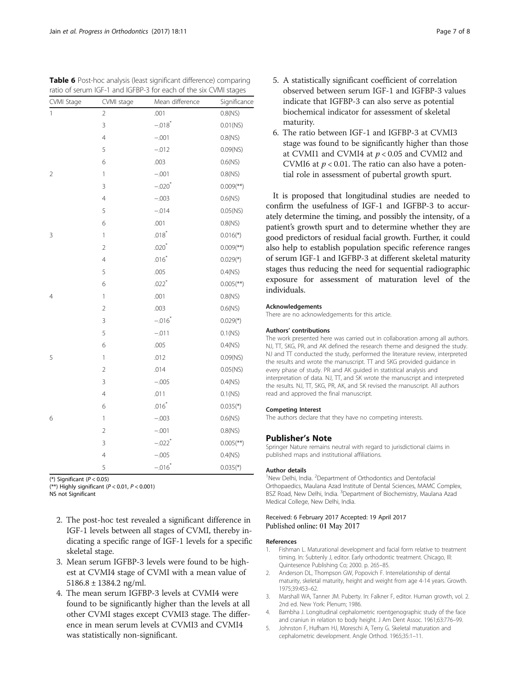<span id="page-6-0"></span>

| Table 6 Post-hoc analysis (least significant difference) comparing |  |
|--------------------------------------------------------------------|--|
| ratio of serum IGF-1 and IGFBP-3 for each of the six CVMI stages   |  |

| CVMI Stage     | CVMI stage     | Mean difference      | Significance              |
|----------------|----------------|----------------------|---------------------------|
| 1              | $\overline{2}$ | .001                 | 0.8(NS)                   |
|                | 3              | $-.018$ <sup>*</sup> | $0.01$ (NS)               |
|                | $\overline{4}$ | $-.001$              | 0.8(NS)                   |
|                | 5              | $-.012$              | $0.09$ (NS)               |
|                | 6              | .003                 | 0.6(NS)                   |
| $\overline{2}$ | 1              | $-.001$              | $0.8$ (NS)                |
|                | 3              | $-.020*$             | $0.009$ <sup>(**)</sup> ) |
|                | $\overline{4}$ | $-.003$              | 0.6(NS)                   |
|                | 5              | $-.014$              | $0.05$ (NS)               |
|                | 6              | .001                 | 0.8(NS)                   |
| 3              | $\mathbf{1}$   | $.018*$              | $0.016(*)$                |
|                | $\overline{2}$ | $.020*$              | $0.009$ <sup>(**)</sup> ) |
|                | $\overline{4}$ | $.016*$              | $0.029(*)$                |
|                | 5              | .005                 | $0.4$ (NS)                |
|                | 6              | $.022$ <sup>*</sup>  | $0.005$ <sup>(**)</sup> ) |
| 4              | $\mathbf{1}$   | .001                 | 0.8(NS)                   |
|                | $\overline{2}$ | .003                 | 0.6(NS)                   |
|                | 3              | $-.016*$             | $0.029(*)$                |
|                | 5              | $-.011$              | 0.1(NS)                   |
|                | 6              | .005                 | $0.4$ (NS)                |
| 5              | $\mathbf{1}$   | .012                 | 0.09(NS)                  |
|                | $\overline{2}$ | .014                 | $0.05$ (NS)               |
|                | $\overline{3}$ | $-.005$              | $0.4$ (NS)                |
|                | $\overline{4}$ | .011                 | 0.1(NS)                   |
|                | 6              | $.016*$              | $0.035(*)$                |
| 6              | $\mathbf{1}$   | $-.003$              | 0.6(NS)                   |
|                | $\overline{2}$ | $-.001$              | 0.8(NS)                   |
|                | 3              | $-.022$ <sup>*</sup> | $0.005$ <sup>(**)</sup> ) |
|                | $\overline{4}$ | $-.005$              | $0.4$ (NS)                |
|                | 5              | $-.016*$             | $0.035(*)$                |

(\*) Significant ( $P < 0.05$ )

(\*\*) Highly significant ( $P < 0.01$ ,  $P < 0.001$ )

NS not Significant

- 2. The post-hoc test revealed a significant difference in IGF-1 levels between all stages of CVMI, thereby indicating a specific range of IGF-1 levels for a specific skeletal stage.
- 3. Mean serum IGFBP-3 levels were found to be highest at CVMI4 stage of CVMI with a mean value of 5186.8 ± 1384.2 ng/ml.
- 4. The mean serum IGFBP-3 levels at CVMI4 were found to be significantly higher than the levels at all other CVMI stages except CVMI3 stage. The difference in mean serum levels at CVMI3 and CVMI4 was statistically non-significant.
- 5. A statistically significant coefficient of correlation observed between serum IGF-1 and IGFBP-3 values indicate that IGFBP-3 can also serve as potential biochemical indicator for assessment of skeletal maturity.
- 6. The ratio between IGF-1 and IGFBP-3 at CVMI3 stage was found to be significantly higher than those at CVMI1 and CVMI4 at  $p < 0.05$  and CVMI2 and CVMI6 at  $p < 0.01$ . The ratio can also have a potential role in assessment of pubertal growth spurt.

It is proposed that longitudinal studies are needed to confirm the usefulness of IGF-1 and IGFBP-3 to accurately determine the timing, and possibly the intensity, of a patient's growth spurt and to determine whether they are good predictors of residual facial growth. Further, it could also help to establish population specific reference ranges of serum IGF-1 and IGFBP-3 at different skeletal maturity stages thus reducing the need for sequential radiographic exposure for assessment of maturation level of the individuals.

#### Acknowledgements

There are no acknowledgements for this article.

#### Authors' contributions

The work presented here was carried out in collaboration among all authors. NJ, TT, SKG, PR, and AK defined the research theme and designed the study. NJ and TT conducted the study, performed the literature review, interpreted the results and wrote the manuscript. TT and SKG provided guidance in every phase of study. PR and AK guided in statistical analysis and interpretation of data. NJ, TT, and SK wrote the manuscript and interpreted the results. NJ, TT, SKG, PR, AK, and SK revised the manuscript. All authors read and approved the final manuscript.

#### Competing Interest

The authors declare that they have no competing interests.

#### Publisher's Note

Springer Nature remains neutral with regard to jurisdictional claims in published maps and institutional affiliations.

#### Author details

<sup>1</sup>New Delhi, India. <sup>2</sup>Department of Orthodontics and Dentofacial Orthopaedics, Maulana Azad Institute of Dental Sciences, MAMC Complex, BSZ Road, New Delhi, India. <sup>3</sup>Department of Biochemistry, Maulana Azad Medical College, New Delhi, India.

#### Received: 6 February 2017 Accepted: 19 April 2017 Published online: 01 May 2017

#### References

- 1. Fishman L. Maturational development and facial form relative to treatment timing. In: Subtenly J, editor. Early orthodontic treatment. Chicago, Ill: Quintesence Publishing Co; 2000. p. 265–85.
- 2. Anderson DL, Thompson GW, Popovich F. Interrelationship of dental maturity, skeletal maturity, height and weight from age 4-14 years. Growth. 1975;39:453–62.
- 3. Marshall WA, Tanner JM. Puberty. In: Falkner F, editor. Human growth, vol. 2. 2nd ed. New York: Plenum; 1986.
- 4. Bambha J. Longitudinal cephalometric roentgenographic study of the face and craniun in relation to body height. J Am Dent Assoc. 1961;63:776–99.
- 5. Johnston F, Hufham HJ, Moreschi A, Terry G. Skeletal maturation and cephalometric development. Angle Orthod. 1965;35:1–11.